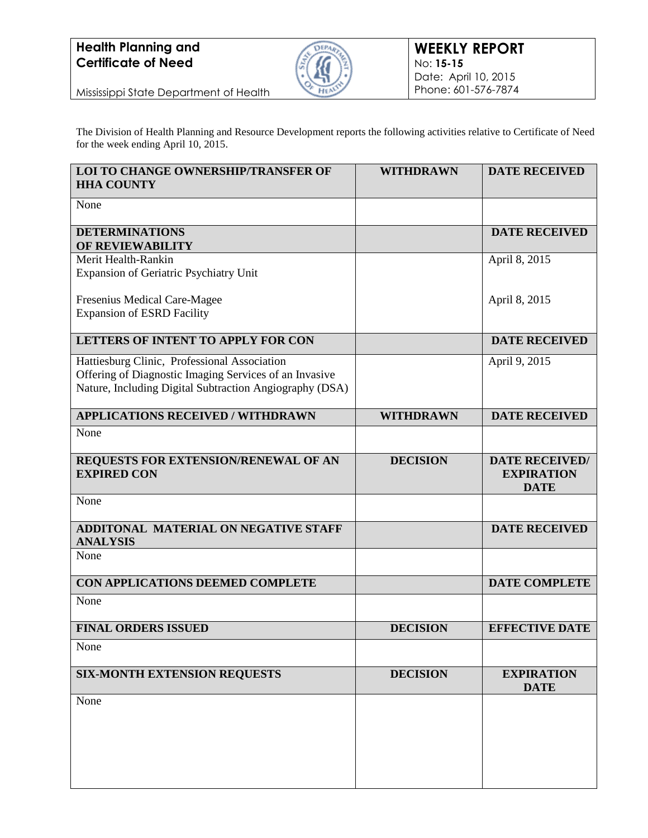

Mississippi State Department of Health

The Division of Health Planning and Resource Development reports the following activities relative to Certificate of Need for the week ending April 10, 2015.

| <b>LOI TO CHANGE OWNERSHIP/TRANSFER OF</b><br><b>HHA COUNTY</b>                                                                                                   | <b>WITHDRAWN</b> | <b>DATE RECEIVED</b>                                      |
|-------------------------------------------------------------------------------------------------------------------------------------------------------------------|------------------|-----------------------------------------------------------|
| None                                                                                                                                                              |                  |                                                           |
| <b>DETERMINATIONS</b><br>OF REVIEWABILITY                                                                                                                         |                  | <b>DATE RECEIVED</b>                                      |
| Merit Health-Rankin<br>Expansion of Geriatric Psychiatry Unit                                                                                                     |                  | April 8, 2015                                             |
| Fresenius Medical Care-Magee                                                                                                                                      |                  | April 8, 2015                                             |
| <b>Expansion of ESRD Facility</b>                                                                                                                                 |                  |                                                           |
| <b>LETTERS OF INTENT TO APPLY FOR CON</b>                                                                                                                         |                  | <b>DATE RECEIVED</b>                                      |
| Hattiesburg Clinic, Professional Association<br>Offering of Diagnostic Imaging Services of an Invasive<br>Nature, Including Digital Subtraction Angiography (DSA) |                  | April 9, 2015                                             |
| <b>APPLICATIONS RECEIVED / WITHDRAWN</b>                                                                                                                          | <b>WITHDRAWN</b> | <b>DATE RECEIVED</b>                                      |
| None                                                                                                                                                              |                  |                                                           |
| REQUESTS FOR EXTENSION/RENEWAL OF AN<br><b>EXPIRED CON</b>                                                                                                        | <b>DECISION</b>  | <b>DATE RECEIVED/</b><br><b>EXPIRATION</b><br><b>DATE</b> |
| None                                                                                                                                                              |                  |                                                           |
| ADDITONAL MATERIAL ON NEGATIVE STAFF<br><b>ANALYSIS</b>                                                                                                           |                  | <b>DATE RECEIVED</b>                                      |
| None                                                                                                                                                              |                  |                                                           |
| CON APPLICATIONS DEEMED COMPLETE                                                                                                                                  |                  | <b>DATE COMPLETE</b>                                      |
| None                                                                                                                                                              |                  |                                                           |
| <b>FINAL ORDERS ISSUED</b>                                                                                                                                        | <b>DECISION</b>  | <b>EFFECTIVE DATE</b>                                     |
| None                                                                                                                                                              |                  |                                                           |
| <b>SIX-MONTH EXTENSION REQUESTS</b>                                                                                                                               | <b>DECISION</b>  | <b>EXPIRATION</b><br><b>DATE</b>                          |
| None                                                                                                                                                              |                  |                                                           |
|                                                                                                                                                                   |                  |                                                           |
|                                                                                                                                                                   |                  |                                                           |
|                                                                                                                                                                   |                  |                                                           |
|                                                                                                                                                                   |                  |                                                           |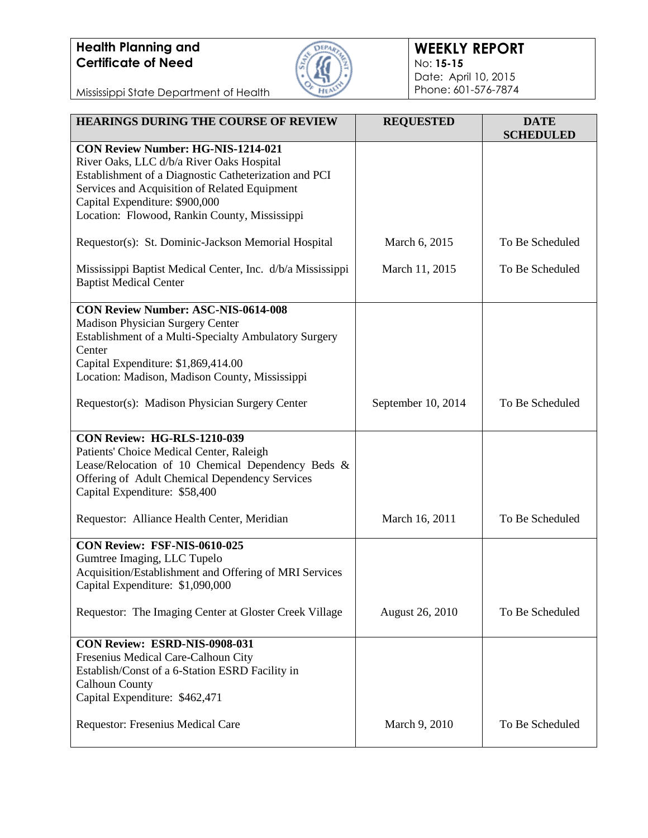

#### **WEEKLY REPORT** No: **15-15** Date: April 10, 2015 Phone: 601-576-7874

Mississippi State Department of Health

| <b>HEARINGS DURING THE COURSE OF REVIEW</b>                                                                                                                                                                                                                                         | <b>REQUESTED</b>   | <b>DATE</b><br><b>SCHEDULED</b> |
|-------------------------------------------------------------------------------------------------------------------------------------------------------------------------------------------------------------------------------------------------------------------------------------|--------------------|---------------------------------|
| <b>CON Review Number: HG-NIS-1214-021</b><br>River Oaks, LLC d/b/a River Oaks Hospital<br>Establishment of a Diagnostic Catheterization and PCI<br>Services and Acquisition of Related Equipment<br>Capital Expenditure: \$900,000<br>Location: Flowood, Rankin County, Mississippi |                    |                                 |
| Requestor(s): St. Dominic-Jackson Memorial Hospital                                                                                                                                                                                                                                 | March 6, 2015      | To Be Scheduled                 |
| Mississippi Baptist Medical Center, Inc. d/b/a Mississippi<br><b>Baptist Medical Center</b>                                                                                                                                                                                         | March 11, 2015     | To Be Scheduled                 |
| <b>CON Review Number: ASC-NIS-0614-008</b><br>Madison Physician Surgery Center<br>Establishment of a Multi-Specialty Ambulatory Surgery<br>Center<br>Capital Expenditure: \$1,869,414.00<br>Location: Madison, Madison County, Mississippi                                          |                    |                                 |
| Requestor(s): Madison Physician Surgery Center                                                                                                                                                                                                                                      | September 10, 2014 | To Be Scheduled                 |
| <b>CON Review: HG-RLS-1210-039</b><br>Patients' Choice Medical Center, Raleigh<br>Lease/Relocation of 10 Chemical Dependency Beds &<br>Offering of Adult Chemical Dependency Services<br>Capital Expenditure: \$58,400                                                              |                    |                                 |
| Requestor: Alliance Health Center, Meridian                                                                                                                                                                                                                                         | March 16, 2011     | To Be Scheduled                 |
| CON Review: FSF-NIS-0610-025<br>Gumtree Imaging, LLC Tupelo<br>Acquisition/Establishment and Offering of MRI Services<br>Capital Expenditure: \$1,090,000                                                                                                                           |                    |                                 |
| Requestor: The Imaging Center at Gloster Creek Village                                                                                                                                                                                                                              | August 26, 2010    | To Be Scheduled                 |
| CON Review: ESRD-NIS-0908-031<br>Fresenius Medical Care-Calhoun City<br>Establish/Const of a 6-Station ESRD Facility in<br><b>Calhoun County</b><br>Capital Expenditure: \$462,471                                                                                                  |                    |                                 |
| Requestor: Fresenius Medical Care                                                                                                                                                                                                                                                   | March 9, 2010      | To Be Scheduled                 |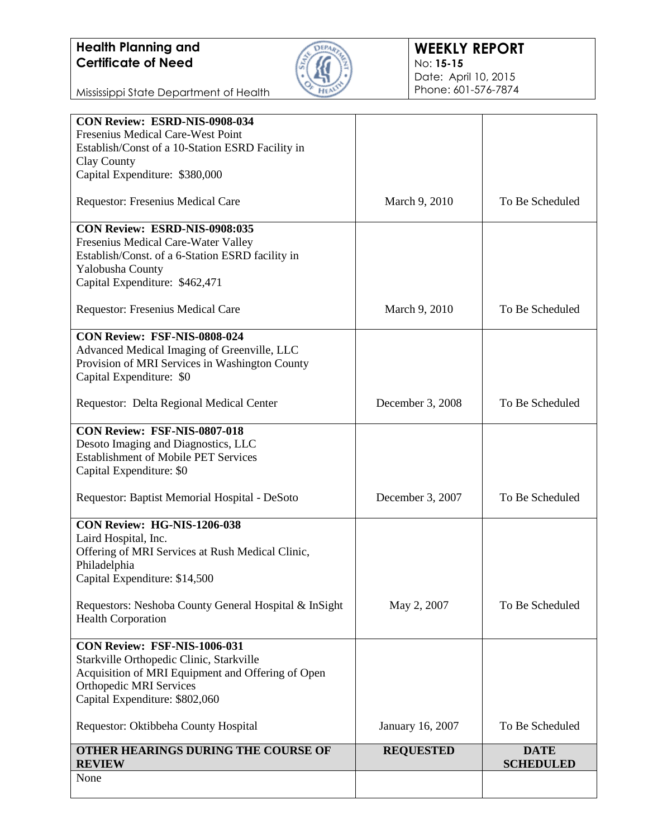

#### **WEEKLY REPORT** No: **15-15** Date: April 10, 2015 Phone: 601-576-7874

Mississippi State Department of Health

| CON Review: ESRD-NIS-0908-034                         |                  |                  |
|-------------------------------------------------------|------------------|------------------|
| Fresenius Medical Care-West Point                     |                  |                  |
| Establish/Const of a 10-Station ESRD Facility in      |                  |                  |
| Clay County                                           |                  |                  |
| Capital Expenditure: \$380,000                        |                  |                  |
| Requestor: Fresenius Medical Care                     | March 9, 2010    | To Be Scheduled  |
| CON Review: ESRD-NIS-0908:035                         |                  |                  |
| Fresenius Medical Care-Water Valley                   |                  |                  |
| Establish/Const. of a 6-Station ESRD facility in      |                  |                  |
| Yalobusha County                                      |                  |                  |
| Capital Expenditure: \$462,471                        |                  |                  |
| Requestor: Fresenius Medical Care                     | March 9, 2010    | To Be Scheduled  |
| CON Review: FSF-NIS-0808-024                          |                  |                  |
| Advanced Medical Imaging of Greenville, LLC           |                  |                  |
| Provision of MRI Services in Washington County        |                  |                  |
| Capital Expenditure: \$0                              |                  |                  |
|                                                       |                  |                  |
| Requestor: Delta Regional Medical Center              | December 3, 2008 | To Be Scheduled  |
| CON Review: FSF-NIS-0807-018                          |                  |                  |
| Desoto Imaging and Diagnostics, LLC                   |                  |                  |
| <b>Establishment of Mobile PET Services</b>           |                  |                  |
| Capital Expenditure: \$0                              |                  |                  |
|                                                       |                  |                  |
| Requestor: Baptist Memorial Hospital - DeSoto         | December 3, 2007 | To Be Scheduled  |
| CON Review: HG-NIS-1206-038                           |                  |                  |
| Laird Hospital, Inc.                                  |                  |                  |
| Offering of MRI Services at Rush Medical Clinic,      |                  |                  |
| Philadelphia                                          |                  |                  |
| Capital Expenditure: \$14,500                         |                  |                  |
| Requestors: Neshoba County General Hospital & InSight | May 2, 2007      | To Be Scheduled  |
| <b>Health Corporation</b>                             |                  |                  |
| CON Review: FSF-NIS-1006-031                          |                  |                  |
| Starkville Orthopedic Clinic, Starkville              |                  |                  |
| Acquisition of MRI Equipment and Offering of Open     |                  |                  |
| <b>Orthopedic MRI Services</b>                        |                  |                  |
| Capital Expenditure: \$802,060                        |                  |                  |
| Requestor: Oktibbeha County Hospital                  | January 16, 2007 | To Be Scheduled  |
| OTHER HEARINGS DURING THE COURSE OF                   | <b>REQUESTED</b> | <b>DATE</b>      |
| <b>REVIEW</b>                                         |                  | <b>SCHEDULED</b> |
| None                                                  |                  |                  |
|                                                       |                  |                  |